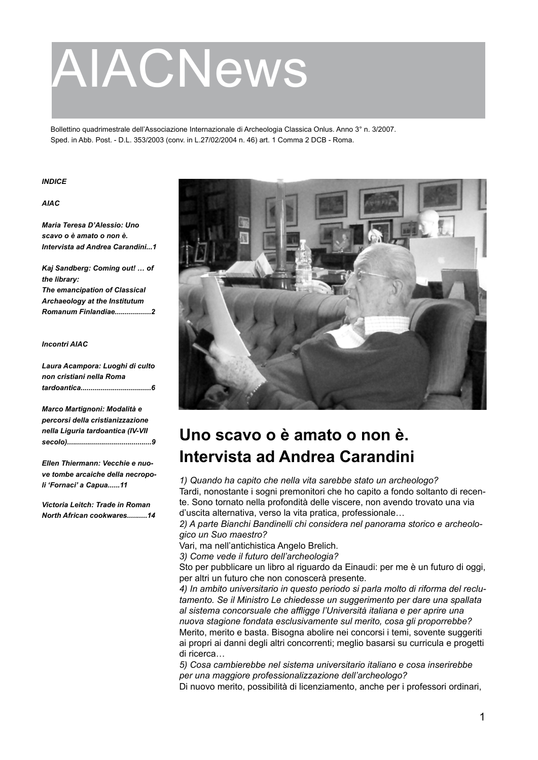# AIACNews

Bollettino quadrimestrale dell'Associazione Internazionale di Archeologia Classica Onlus. Anno 3° n. 3/2007. Sped. in Abb. Post. - D.L. 353/2003 (conv. in L.27/02/2004 n. 46) art. 1 Comma 2 DCB - Roma.

#### *INDICE*

## *AIAC*

*Maria Teresa D'Alessio: Uno scavo o è amato o non è. Intervista ad Andrea Carandini...1*

*Kaj Sandberg: Coming out! … of the library: The emancipation of Classical Archaeology at the Institutum Romanum Finlandiae..................2*

#### *Incontri AIAC*

| Laura Acampora: Luoghi di culto |
|---------------------------------|
| non cristiani nella Roma        |
|                                 |

*Marco Martignoni: Modalità e percorsi della cristianizzazione nella Liguria tardoantica (IV-VII secolo)..........................................9*

*Ellen Thiermann: Vecchie e nuove tombe arcaiche della necropoli 'Fornaci' a Capua......11*

*Victoria Leitch: Trade in Roman North African cookwares..........14*



# **Uno scavo o è amato o non è. Intervista ad Andrea Carandini**

*1) Quando ha capito che nella vita sarebbe stato un archeologo?*  Tardi, nonostante i sogni premonitori che ho capito a fondo soltanto di recente. Sono tornato nella profondità delle viscere, non avendo trovato una via d'uscita alternativa, verso la vita pratica, professionale…

*2) A parte Bianchi Bandinelli chi considera nel panorama storico e archeologico un Suo maestro?* 

Vari, ma nell'antichistica Angelo Brelich.

*3) Come vede il futuro dell'archeologia?* 

Sto per pubblicare un libro al riguardo da Einaudi: per me è un futuro di oggi, per altri un futuro che non conoscerà presente.

*4) In ambito universitario in questo periodo si parla molto di riforma del reclutamento. Se il Ministro Le chiedesse un suggerimento per dare una spallata al sistema concorsuale che affligge l'Università italiana e per aprire una nuova stagione fondata esclusivamente sul merito, cosa gli proporrebbe?*  Merito, merito e basta. Bisogna abolire nei concorsi i temi, sovente suggeriti ai propri ai danni degli altri concorrenti; meglio basarsi su curricula e progetti di ricerca…

*5) Cosa cambierebbe nel sistema universitario italiano e cosa inserirebbe per una maggiore professionalizzazione dell'archeologo?* 

Di nuovo merito, possibilità di licenziamento, anche per i professori ordinari,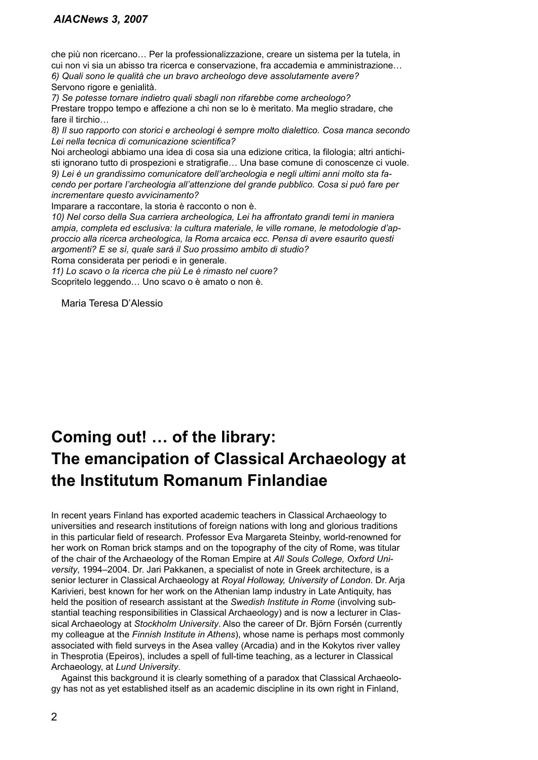che più non ricercano… Per la professionalizzazione, creare un sistema per la tutela, in cui non vi sia un abisso tra ricerca e conservazione, fra accademia e amministrazione… *6) Quali sono le qualità che un bravo archeologo deve assolutamente avere?* Servono rigore e genialità.

*7) Se potesse tornare indietro quali sbagli non rifarebbe come archeologo?*  Prestare troppo tempo e affezione a chi non se lo è meritato. Ma meglio stradare, che fare il tirchio…

*8) Il suo rapporto con storici e archeologi è sempre molto dialettico. Cosa manca secondo Lei nella tecnica di comunicazione scientifica?* 

Noi archeologi abbiamo una idea di cosa sia una edizione critica, la filologia; altri antichisti ignorano tutto di prospezioni e stratigrafie… Una base comune di conoscenze ci vuole. *9) Lei è un grandissimo comunicatore dell'archeologia e negli ultimi anni molto sta facendo per portare l'archeologia all'attenzione del grande pubblico. Cosa si può fare per incrementare questo avvicinamento?* 

Imparare a raccontare, la storia è racconto o non è.

*10) Nel corso della Sua carriera archeologica, Lei ha affrontato grandi temi in maniera ampia, completa ed esclusiva: la cultura materiale, le ville romane, le metodologie d'approccio alla ricerca archeologica, la Roma arcaica ecc. Pensa di avere esaurito questi argomenti? E se sì, quale sarà il Suo prossimo ambito di studio?* 

Roma considerata per periodi e in generale.

*11) Lo scavo o la ricerca che più Le è rimasto nel cuore?*  Scopritelo leggendo… Uno scavo o è amato o non è.

Maria Teresa D'Alessio

# **Coming out! … of the library: The emancipation of Classical Archaeology at the Institutum Romanum Finlandiae**

In recent years Finland has exported academic teachers in Classical Archaeology to universities and research institutions of foreign nations with long and glorious traditions in this particular field of research. Professor Eva Margareta Steinby, world-renowned for her work on Roman brick stamps and on the topography of the city of Rome, was titular of the chair of the Archaeology of the Roman Empire at *All Souls College, Oxford University*, 1994–2004. Dr. Jari Pakkanen, a specialist of note in Greek architecture, is a senior lecturer in Classical Archaeology at *Royal Holloway, University of London*. Dr. Arja Karivieri, best known for her work on the Athenian lamp industry in Late Antiquity, has held the position of research assistant at the *Swedish Institute in Rome* (involving substantial teaching responsibilities in Classical Archaeology) and is now a lecturer in Classical Archaeology at *Stockholm University*. Also the career of Dr. Björn Forsén (currently my colleague at the *Finnish Institute in Athens*), whose name is perhaps most commonly associated with field surveys in the Asea valley (Arcadia) and in the Kokytos river valley in Thesprotia (Epeiros), includes a spell of full-time teaching, as a lecturer in Classical Archaeology, at *Lund University*.

Against this background it is clearly something of a paradox that Classical Archaeology has not as yet established itself as an academic discipline in its own right in Finland,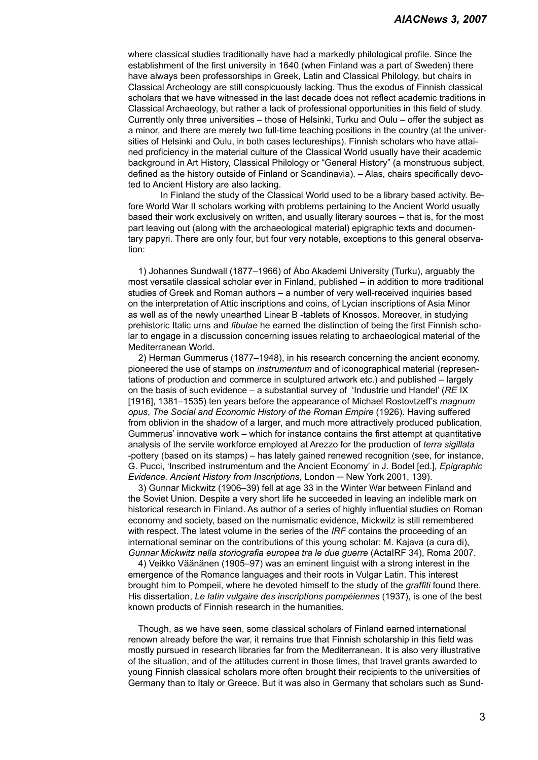where classical studies traditionally have had a markedly philological profile. Since the establishment of the first university in 1640 (when Finland was a part of Sweden) there have always been professorships in Greek, Latin and Classical Philology, but chairs in Classical Archeology are still conspicuously lacking. Thus the exodus of Finnish classical scholars that we have witnessed in the last decade does not reflect academic traditions in Classical Archaeology, but rather a lack of professional opportunities in this field of study. Currently only three universities – those of Helsinki, Turku and Oulu – offer the subject as a minor, and there are merely two full-time teaching positions in the country (at the universities of Helsinki and Oulu, in both cases lectureships). Finnish scholars who have attained proficiency in the material culture of the Classical World usually have their academic background in Art History, Classical Philology or "General History" (a monstruous subject, defined as the history outside of Finland or Scandinavia). – Alas, chairs specifically devoted to Ancient History are also lacking.

In Finland the study of the Classical World used to be a library based activity. Before World War II scholars working with problems pertaining to the Ancient World usually based their work exclusively on written, and usually literary sources – that is, for the most part leaving out (along with the archaeological material) epigraphic texts and documentary papyri. There are only four, but four very notable, exceptions to this general observation:

1) Johannes Sundwall (1877–1966) of Åbo Akademi University (Turku), arguably the most versatile classical scholar ever in Finland, published – in addition to more traditional studies of Greek and Roman authors – a number of very well-received inquiries based on the interpretation of Attic inscriptions and coins, of Lycian inscriptions of Asia Minor as well as of the newly unearthed Linear B -tablets of Knossos. Moreover, in studying prehistoric Italic urns and *fibulae* he earned the distinction of being the first Finnish scholar to engage in a discussion concerning issues relating to archaeological material of the Mediterranean World.

2) Herman Gummerus (1877–1948), in his research concerning the ancient economy, pioneered the use of stamps on *instrumentum* and of iconographical material (representations of production and commerce in sculptured artwork etc.) and published – largely on the basis of such evidence – a substantial survey of 'Industrie und Handel' (*RE* IX [1916], 1381–1535) ten years before the appearance of Michael Rostovtzeff's *magnum opus*, *The Social and Economic History of the Roman Empire* (1926). Having suffered from oblivion in the shadow of a larger, and much more attractively produced publication, Gummerus' innovative work – which for instance contains the first attempt at quantitative analysis of the servile workforce employed at Arezzo for the production of *terra sigillata* -pottery (based on its stamps) – has lately gained renewed recognition (see, for instance, G. Pucci, 'Inscribed instrumentum and the Ancient Economy' in J. Bodel [ed.], *Epigraphic Evidence. Ancient History from Inscriptions*, London ─ New York 2001, 139).

3) Gunnar Mickwitz (1906–39) fell at age 33 in the Winter War between Finland and the Soviet Union. Despite a very short life he succeeded in leaving an indelible mark on historical research in Finland. As author of a series of highly influential studies on Roman economy and society, based on the numismatic evidence, Mickwitz is still remembered with respect. The latest volume in the series of the *IRF* contains the proceeding of an international seminar on the contributions of this young scholar: M. Kajava (a cura di), *Gunnar Mickwitz nella storiografia europea tra le due guerre* (ActaIRF 34), Roma 2007.

4) Veikko Väänänen (1905–97) was an eminent linguist with a strong interest in the emergence of the Romance languages and their roots in Vulgar Latin. This interest brought him to Pompeii, where he devoted himself to the study of the *graffiti* found there. His dissertation, *Le latin vulgaire des inscriptions pompéiennes* (1937), is one of the best known products of Finnish research in the humanities.

Though, as we have seen, some classical scholars of Finland earned international renown already before the war, it remains true that Finnish scholarship in this field was mostly pursued in research libraries far from the Mediterranean. It is also very illustrative of the situation, and of the attitudes current in those times, that travel grants awarded to young Finnish classical scholars more often brought their recipients to the universities of Germany than to Italy or Greece. But it was also in Germany that scholars such as Sund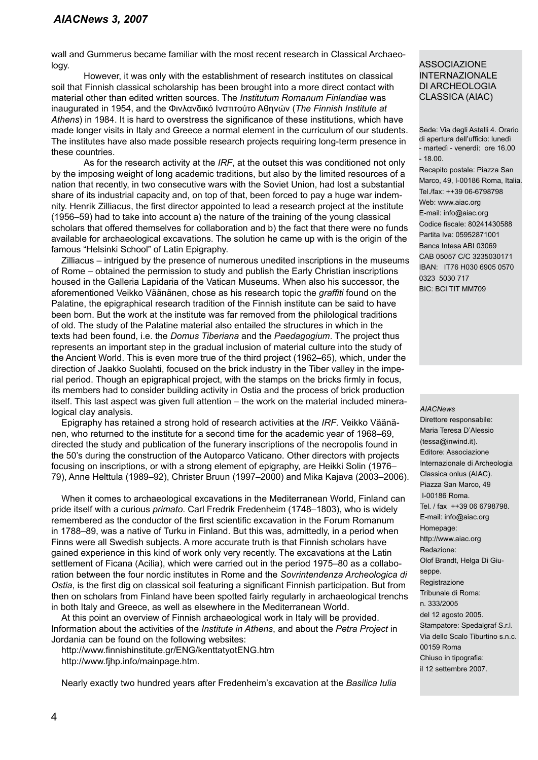wall and Gummerus became familiar with the most recent research in Classical Archaeology.

However, it was only with the establishment of research institutes on classical soil that Finnish classical scholarship has been brought into a more direct contact with material other than edited written sources. The *Institutum Romanum Finlandiae* was inaugurated in 1954, and the Φινλανδικό Iνστιτούτο Aθηνών (*The Finnish Institute at Athens*) in 1984. It is hard to overstress the significance of these institutions, which have made longer visits in Italy and Greece a normal element in the curriculum of our students. The institutes have also made possible research projects requiring long-term presence in these countries.

As for the research activity at the *IRF*, at the outset this was conditioned not only by the imposing weight of long academic traditions, but also by the limited resources of a nation that recently, in two consecutive wars with the Soviet Union, had lost a substantial share of its industrial capacity and, on top of that, been forced to pay a huge war indemnity. Henrik Zilliacus, the first director appointed to lead a research project at the institute (1956–59) had to take into account a) the nature of the training of the young classical scholars that offered themselves for collaboration and b) the fact that there were no funds available for archaeological excavations. The solution he came up with is the origin of the famous "Helsinki School" of Latin Epigraphy.

Zilliacus – intrigued by the presence of numerous unedited inscriptions in the museums of Rome – obtained the permission to study and publish the Early Christian inscriptions housed in the Galleria Lapidaria of the Vatican Museums. When also his successor, the aforementioned Veikko Väänänen, chose as his research topic the *graffiti* found on the Palatine, the epigraphical research tradition of the Finnish institute can be said to have been born. But the work at the institute was far removed from the philological traditions of old. The study of the Palatine material also entailed the structures in which in the texts had been found, i.e. the *Domus Tiberiana* and the *Paedagogium*. The project thus represents an important step in the gradual inclusion of material culture into the study of the Ancient World. This is even more true of the third project (1962–65), which, under the direction of Jaakko Suolahti, focused on the brick industry in the Tiber valley in the imperial period. Though an epigraphical project, with the stamps on the bricks firmly in focus, its members had to consider building activity in Ostia and the process of brick production itself. This last aspect was given full attention – the work on the material included mineralogical clay analysis.

Epigraphy has retained a strong hold of research activities at the *IRF*. Veikko Väänänen, who returned to the institute for a second time for the academic year of 1968–69, directed the study and publication of the funerary inscriptions of the necropolis found in the 50's during the construction of the Autoparco Vaticano. Other directors with projects focusing on inscriptions, or with a strong element of epigraphy, are Heikki Solin (1976– 79), Anne Helttula (1989–92), Christer Bruun (1997–2000) and Mika Kajava (2003–2006).

When it comes to archaeological excavations in the Mediterranean World, Finland can pride itself with a curious *primato*. Carl Fredrik Fredenheim (1748–1803), who is widely remembered as the conductor of the first scientific excavation in the Forum Romanum in 1788–89, was a native of Turku in Finland. But this was, admittedly, in a period when Finns were all Swedish subjects. A more accurate truth is that Finnish scholars have gained experience in this kind of work only very recently. The excavations at the Latin settlement of Ficana (Acilia), which were carried out in the period 1975–80 as a collaboration between the four nordic institutes in Rome and the *Sovrintendenza Archeologica di Ostia*, is the first dig on classical soil featuring a significant Finnish participation. But from then on scholars from Finland have been spotted fairly regularly in archaeological trenchs in both Italy and Greece, as well as elsewhere in the Mediterranean World.

At this point an overview of Finnish archaeological work in Italy will be provided. Information about the activities of the *Institute in Athens*, and about the *Petra Project* in Jordania can be found on the following websites:

http://www.finnishinstitute.gr/ENG/kenttatyotENG.htm http://www.fjhp.info/mainpage.htm.

Nearly exactly two hundred years after Fredenheim's excavation at the *Basilica Iulia*

## ASSOCIAZIONE INTERNAZIONALE DI ARCHEOLOGIA CLASSICA (AIAC)

Sede: Via degli Astalli 4. Orario di apertura dell'ufficio: lunedì - martedì - venerdì: ore 16.00 - 18.00.

Recapito postale: Piazza San Marco, 49, I-00186 Roma, Italia. Tel./fax: ++39 06-6798798 Web: www.aiac.org E-mail: info@aiac.org Codice fiscale: 80241430588 Partita Iva: 05952871001 Banca Intesa ABI 03069 CAB 05057 C/C 3235030171 IBAN: IT76 H030 6905 0570 0323 5030 717 BIC: BCI TIT MM709

#### *AIACNews*

Direttore responsabile: Maria Teresa D'Alessio (tessa@inwind.it). Editore: Associazione Internazionale di Archeologia Classica onlus (AIAC). Piazza San Marco, 49 I-00186 Roma. Tel. / fax ++39 06 6798798. E-mail: info@aiac.org Homepage: http://www.aiac.org Redazione: Olof Brandt, Helga Di Giuseppe. Registrazione Tribunale di Roma: n. 333/2005 del 12 agosto 2005. Stampatore: Spedalgraf S.r.l. Via dello Scalo Tiburtino s.n.c. 00159 Roma Chiuso in tipografia:

il 12 settembre 2007.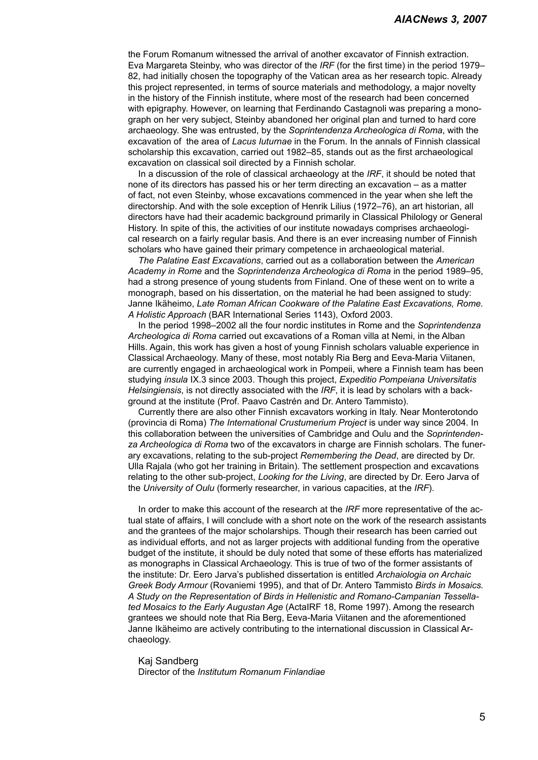the Forum Romanum witnessed the arrival of another excavator of Finnish extraction. Eva Margareta Steinby, who was director of the *IRF* (for the first time) in the period 1979– 82, had initially chosen the topography of the Vatican area as her research topic. Already this project represented, in terms of source materials and methodology, a major novelty in the history of the Finnish institute, where most of the research had been concerned with epigraphy. However, on learning that Ferdinando Castagnoli was preparing a monograph on her very subject, Steinby abandoned her original plan and turned to hard core archaeology. She was entrusted, by the *Soprintendenza Archeologica di Roma*, with the excavation of the area of *Lacus Iuturnae* in the Forum. In the annals of Finnish classical scholarship this excavation, carried out 1982–85, stands out as the first archaeological excavation on classical soil directed by a Finnish scholar.

In a discussion of the role of classical archaeology at the *IRF*, it should be noted that none of its directors has passed his or her term directing an excavation – as a matter of fact, not even Steinby, whose excavations commenced in the year when she left the directorship. And with the sole exception of Henrik Lilius (1972–76), an art historian, all directors have had their academic background primarily in Classical Philology or General History. In spite of this, the activities of our institute nowadays comprises archaeological research on a fairly regular basis. And there is an ever increasing number of Finnish scholars who have gained their primary competence in archaeological material.

*The Palatine East Excavations*, carried out as a collaboration between the *American Academy in Rome* and the *Soprintendenza Archeologica di Roma* in the period 1989–95, had a strong presence of young students from Finland. One of these went on to write a monograph, based on his dissertation, on the material he had been assigned to study: Janne Ikäheimo, *Late Roman African Cookware of the Palatine East Excavations, Rome. A Holistic Approach* (BAR International Series 1143), Oxford 2003.

In the period 1998–2002 all the four nordic institutes in Rome and the *Soprintendenza Archeologica di Roma* carried out excavations of a Roman villa at Nemi, in the Alban Hills. Again, this work has given a host of young Finnish scholars valuable experience in Classical Archaeology. Many of these, most notably Ria Berg and Eeva-Maria Viitanen, are currently engaged in archaeological work in Pompeii, where a Finnish team has been studying *insula* IX.3 since 2003. Though this project, *Expeditio Pompeiana Universitatis Helsingiensis*, is not directly associated with the *IRF*, it is lead by scholars with a background at the institute (Prof. Paavo Castrén and Dr. Antero Tammisto).

Currently there are also other Finnish excavators working in Italy. Near Monterotondo (provincia di Roma) *The International Crustumerium Project* is under way since 2004. In this collaboration between the universities of Cambridge and Oulu and the *Soprintendenza Archeologica di Roma* two of the excavators in charge are Finnish scholars. The funerary excavations, relating to the sub-project *Remembering the Dead*, are directed by Dr. Ulla Rajala (who got her training in Britain). The settlement prospection and excavations relating to the other sub-project, *Looking for the Living*, are directed by Dr. Eero Jarva of the *University of Oulu* (formerly researcher, in various capacities, at the *IRF*).

In order to make this account of the research at the *IRF* more representative of the actual state of affairs, I will conclude with a short note on the work of the research assistants and the grantees of the major scholarships. Though their research has been carried out as individual efforts, and not as larger projects with additional funding from the operative budget of the institute, it should be duly noted that some of these efforts has materialized as monographs in Classical Archaeology. This is true of two of the former assistants of the institute: Dr. Eero Jarva's published dissertation is entitled *Archaiologia on Archaic Greek Body Armour* (Rovaniemi 1995), and that of Dr. Antero Tammisto *Birds in Mosaics. A Study on the Representation of Birds in Hellenistic and Romano-Campanian Tessellated Mosaics to the Early Augustan Age* (ActaIRF 18, Rome 1997). Among the research grantees we should note that Ria Berg, Eeva-Maria Viitanen and the aforementioned Janne Ikäheimo are actively contributing to the international discussion in Classical Archaeology.

Kaj Sandberg Director of the *Institutum Romanum Finlandiae*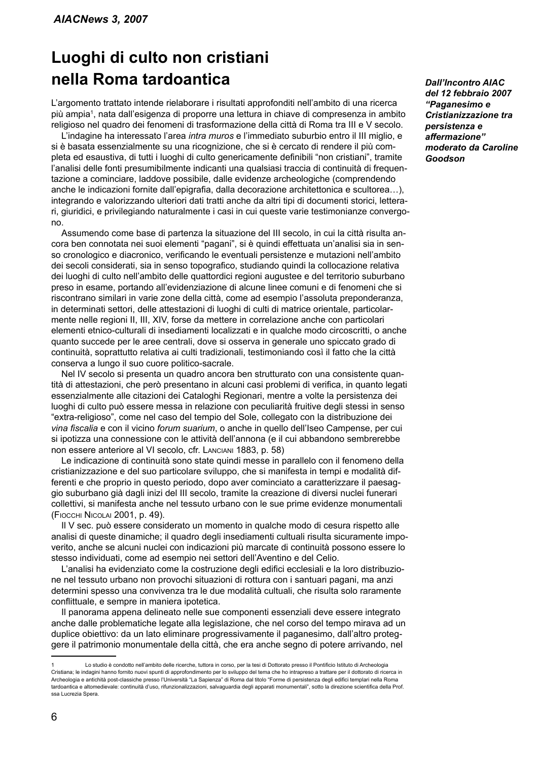## **Luoghi di culto non cristiani nella Roma tardoantica**

L'argomento trattato intende rielaborare i risultati approfonditi nell'ambito di una ricerca più ampia , nata dall'esigenza di proporre una lettura in chiave di compresenza in ambito religioso nel quadro dei fenomeni di trasformazione della città di Roma tra III e V secolo.

L'indagine ha interessato l'area *intra muros* e l'immediato suburbio entro il III miglio, e si è basata essenzialmente su una ricognizione, che si è cercato di rendere il più completa ed esaustiva, di tutti i luoghi di culto genericamente definibili "non cristiani", tramite l'analisi delle fonti presumibilmente indicanti una qualsiasi traccia di continuità di frequentazione a cominciare, laddove possibile, dalle evidenze archeologiche (comprendendo anche le indicazioni fornite dall'epigrafia, dalla decorazione architettonica e scultorea…), integrando e valorizzando ulteriori dati tratti anche da altri tipi di documenti storici, letterari, giuridici, e privilegiando naturalmente i casi in cui queste varie testimonianze convergono.

Assumendo come base di partenza la situazione del III secolo, in cui la città risulta ancora ben connotata nei suoi elementi "pagani", si è quindi effettuata un'analisi sia in senso cronologico e diacronico, verificando le eventuali persistenze e mutazioni nell'ambito dei secoli considerati, sia in senso topografico, studiando quindi la collocazione relativa dei luoghi di culto nell'ambito delle quattordici regioni augustee e del territorio suburbano preso in esame, portando all'evidenziazione di alcune linee comuni e di fenomeni che si riscontrano similari in varie zone della città, come ad esempio l'assoluta preponderanza, in determinati settori, delle attestazioni di luoghi di culti di matrice orientale, particolarmente nelle regioni II, III, XIV, forse da mettere in correlazione anche con particolari elementi etnico-culturali di insediamenti localizzati e in qualche modo circoscritti, o anche quanto succede per le aree centrali, dove si osserva in generale uno spiccato grado di continuità, soprattutto relativa ai culti tradizionali, testimoniando così il fatto che la città conserva a lungo il suo cuore politico-sacrale.

Nel IV secolo si presenta un quadro ancora ben strutturato con una consistente quantità di attestazioni, che però presentano in alcuni casi problemi di verifica, in quanto legati essenzialmente alle citazioni dei Cataloghi Regionari, mentre a volte la persistenza dei luoghi di culto può essere messa in relazione con peculiarità fruitive degli stessi in senso "extra-religioso", come nel caso del tempio del Sole, collegato con la distribuzione dei *vina fiscalia* e con il vicino *forum suarium*, o anche in quello dell'Iseo Campense, per cui si ipotizza una connessione con le attività dell'annona (e il cui abbandono sembrerebbe non essere anteriore al VI secolo, cfr. Lanciani 1883, p. 58)

Le indicazione di continuità sono state quindi messe in parallelo con il fenomeno della cristianizzazione e del suo particolare sviluppo, che si manifesta in tempi e modalità differenti e che proprio in questo periodo, dopo aver cominciato a caratterizzare il paesaggio suburbano già dagli inizi del III secolo, tramite la creazione di diversi nuclei funerari collettivi, si manifesta anche nel tessuto urbano con le sue prime evidenze monumentali (Fiocchi Nicolai 2001, p. 49).

Il V sec. può essere considerato un momento in qualche modo di cesura rispetto alle analisi di queste dinamiche; il quadro degli insediamenti cultuali risulta sicuramente impoverito, anche se alcuni nuclei con indicazioni più marcate di continuità possono essere lo stesso individuati, come ad esempio nei settori dell'Aventino e del Celio.

L'analisi ha evidenziato come la costruzione degli edifici ecclesiali e la loro distribuzione nel tessuto urbano non provochi situazioni di rottura con i santuari pagani, ma anzi determini spesso una convivenza tra le due modalità cultuali, che risulta solo raramente conflittuale, e sempre in maniera ipotetica.

Il panorama appena delineato nelle sue componenti essenziali deve essere integrato anche dalle problematiche legate alla legislazione, che nel corso del tempo mirava ad un duplice obiettivo: da un lato eliminare progressivamente il paganesimo, dall'altro proteggere il patrimonio monumentale della città, che era anche segno di potere arrivando, nel

*Dall'Incontro AIAC del 12 febbraio 2007 "Paganesimo e Cristianizzazione tra persistenza e affermazione" moderato da Caroline Goodson* 

Lo studio è condotto nell'ambito delle ricerche, tuttora in corso, per la tesi di Dottorato presso il Pontificio Istituto di Archeologia Cristiana; le indagini hanno fornito nuovi spunti di approfondimento per lo sviluppo del tema che ho intrapreso a trattare per il dottorato di ricerca in Archeologia e antichità post-classiche presso l'Università "La Sapienza" di Roma dal titolo "Forme di persistenza degli edifici templari nella Roma tardoantica e altomedievale: continuità d'uso, rifunzionalizzazioni, salvaguardia degli apparati monumentali", sotto la direzione scientifica della Prof. ssa Lucrezia Spera.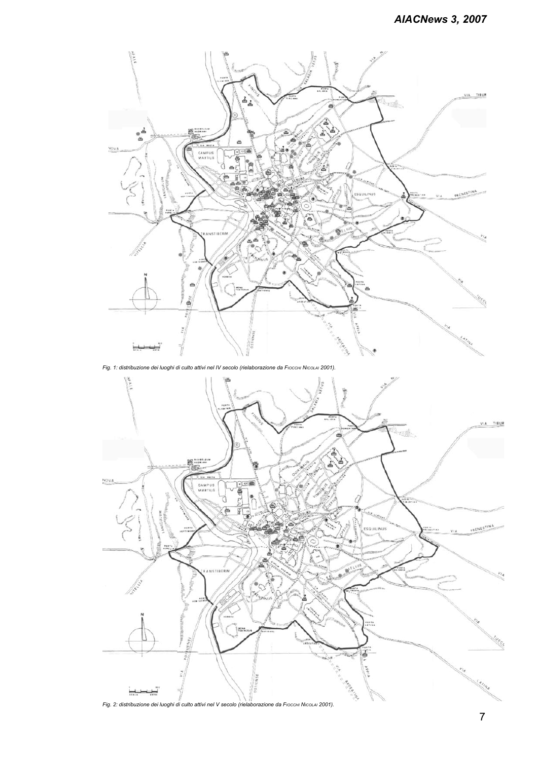

*Fig. 1: distribuzione dei luoghi di culto attivi nel IV secolo (rielaborazione da Fiocchi Nicolai 2001).*

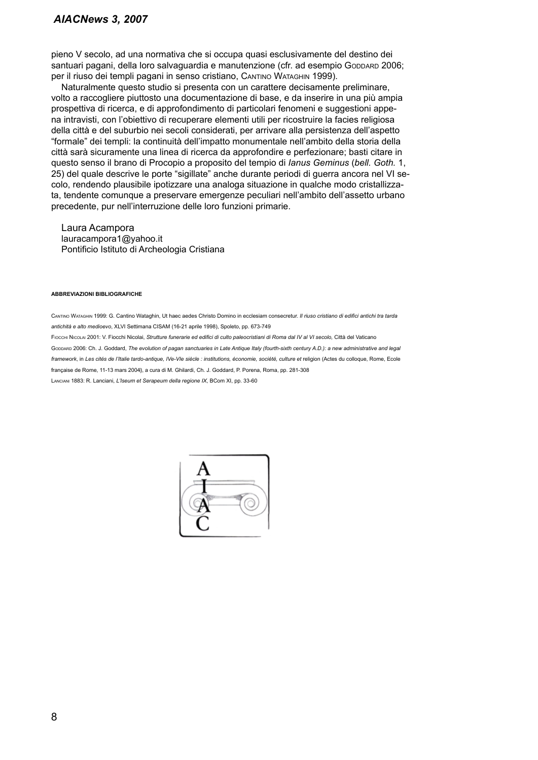## *AIACNews 3, 2007*

pieno V secolo, ad una normativa che si occupa quasi esclusivamente del destino dei santuari pagani, della loro salvaguardia e manutenzione (cfr. ad esempio Gopparp 2006; per il riuso dei templi pagani in senso cristiano, Cantino Wataghin 1999).

Naturalmente questo studio si presenta con un carattere decisamente preliminare, volto a raccogliere piuttosto una documentazione di base, e da inserire in una più ampia prospettiva di ricerca, e di approfondimento di particolari fenomeni e suggestioni appena intravisti, con l'obiettivo di recuperare elementi utili per ricostruire la facies religiosa della città e del suburbio nei secoli considerati, per arrivare alla persistenza dell'aspetto "formale" dei templi: la continuità dell'impatto monumentale nell'ambito della storia della città sarà sicuramente una linea di ricerca da approfondire e perfezionare; basti citare in questo senso il brano di Procopio a proposito del tempio di *Ianus Geminus* (*bell. Goth.* 1, 25) del quale descrive le porte "sigillate" anche durante periodi di guerra ancora nel VI secolo, rendendo plausibile ipotizzare una analoga situazione in qualche modo cristallizzata, tendente comunque a preservare emergenze peculiari nell'ambito dell'assetto urbano precedente, pur nell'interruzione delle loro funzioni primarie.

Laura Acampora lauracampora1@yahoo.it Pontificio Istituto di Archeologia Cristiana

#### **Abbreviazioni Bibliografiche**

Cantino Wataghin 1999: G. Cantino Wataghin, Ut haec aedes Christo Domino in ecclesiam consecretur. *Il riuso cristiano di edifici antichi tra tarda antichità e alto medioevo*, XLVI Settimana CISAM (16-21 aprile 1998), Spoleto, pp. 673-749

Fiocchi Nicolai 2001: V. Fiocchi Nicolai, *Strutture funerarie ed edifici di culto paleocristiani di Roma dal IV al VI secolo,* Città del Vaticano

Gobbard 2006: Ch. J. Goddard, *The evolution of pagan sanctuaries in Late Antique Italy (fourth-sixth century A.D.): a new administrative and legal* framework, in Les cités de l'Italie tardo-antique, IVe-VIe siècle : institutions, économie, société, culture et religion (Actes du colloque, Rome, Ecole française de Rome, 11-13 mars 2004), a cura di M. Ghilardi, Ch. J. Goddard, P. Porena, Roma, pp. 281-308

Lanciani 1883: R. Lanciani, *L'Iseum et Serapeum della regione IX*, BCom XI, pp. 33-60

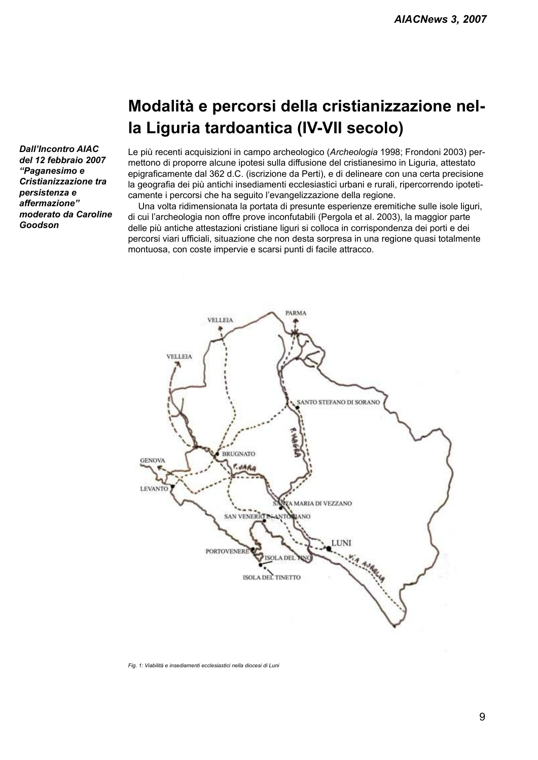# **Modalità e percorsi della cristianizzazione nella Liguria tardoantica (IV-VII secolo)**

*Dall'Incontro AIAC del 12 febbraio 2007 "Paganesimo e Cristianizzazione tra persistenza e affermazione" moderato da Caroline Goodson* 

Le più recenti acquisizioni in campo archeologico (*Archeologia* 1998; Frondoni 2003) permettono di proporre alcune ipotesi sulla diffusione del cristianesimo in Liguria, attestato epigraficamente dal 362 d.C. (iscrizione da Perti), e di delineare con una certa precisione la geografia dei più antichi insediamenti ecclesiastici urbani e rurali, ripercorrendo ipoteticamente i percorsi che ha seguito l'evangelizzazione della regione.

Una volta ridimensionata la portata di presunte esperienze eremitiche sulle isole liguri, di cui l'archeologia non offre prove inconfutabili (Pergola et al. 2003), la maggior parte delle più antiche attestazioni cristiane liguri si colloca in corrispondenza dei porti e dei percorsi viari ufficiali, situazione che non desta sorpresa in una regione quasi totalmente montuosa, con coste impervie e scarsi punti di facile attracco.



*Fig. 1: Viabilità e insediamenti ecclesiastici nella diocesi di Luni*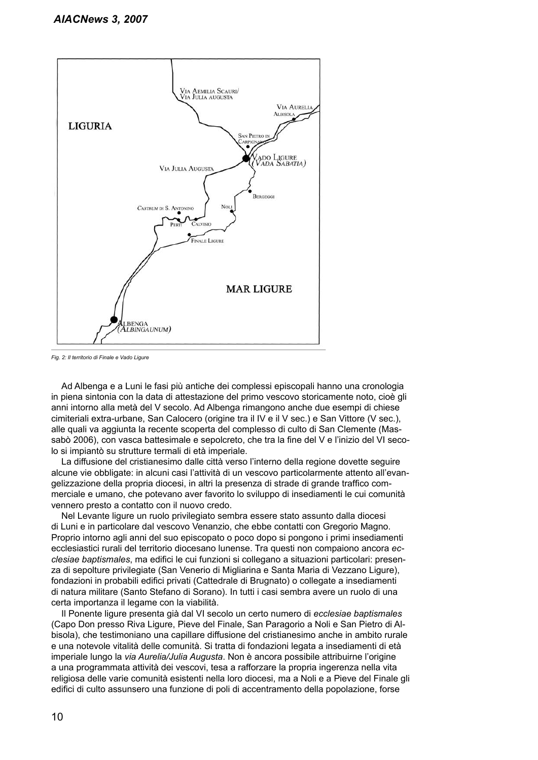

*Fig. 2: Il territorio di Finale e Vado Ligure*

Ad Albenga e a Luni le fasi più antiche dei complessi episcopali hanno una cronologia in piena sintonia con la data di attestazione del primo vescovo storicamente noto, cioè gli anni intorno alla metà del V secolo. Ad Albenga rimangono anche due esempi di chiese cimiteriali extra-urbane, San Calocero (origine tra il IV e il V sec.) e San Vittore (V sec.), alle quali va aggiunta la recente scoperta del complesso di culto di San Clemente (Massabò 2006), con vasca battesimale e sepolcreto, che tra la fine del V e l'inizio del VI secolo si impiantò su strutture termali di età imperiale.

La diffusione del cristianesimo dalle città verso l'interno della regione dovette seguire alcune vie obbligate: in alcuni casi l'attività di un vescovo particolarmente attento all'evangelizzazione della propria diocesi, in altri la presenza di strade di grande traffico commerciale e umano, che potevano aver favorito lo sviluppo di insediamenti le cui comunità vennero presto a contatto con il nuovo credo.

Nel Levante ligure un ruolo privilegiato sembra essere stato assunto dalla diocesi di Luni e in particolare dal vescovo Venanzio, che ebbe contatti con Gregorio Magno. Proprio intorno agli anni del suo episcopato o poco dopo si pongono i primi insediamenti ecclesiastici rurali del territorio diocesano lunense. Tra questi non compaiono ancora *ecclesiae baptismales*, ma edifici le cui funzioni si collegano a situazioni particolari: presenza di sepolture privilegiate (San Venerio di Migliarina e Santa Maria di Vezzano Ligure), fondazioni in probabili edifici privati (Cattedrale di Brugnato) o collegate a insediamenti di natura militare (Santo Stefano di Sorano). In tutti i casi sembra avere un ruolo di una certa importanza il legame con la viabilità.

Il Ponente ligure presenta già dal VI secolo un certo numero di *ecclesiae baptismales* (Capo Don presso Riva Ligure, Pieve del Finale, San Paragorio a Noli e San Pietro di Albisola), che testimoniano una capillare diffusione del cristianesimo anche in ambito rurale e una notevole vitalità delle comunità. Si tratta di fondazioni legata a insediamenti di età imperiale lungo la *via Aurelia/Julia Augusta*. Non è ancora possibile attribuirne l'origine a una programmata attività dei vescovi, tesa a rafforzare la propria ingerenza nella vita religiosa delle varie comunità esistenti nella loro diocesi, ma a Noli e a Pieve del Finale gli edifici di culto assunsero una funzione di poli di accentramento della popolazione, forse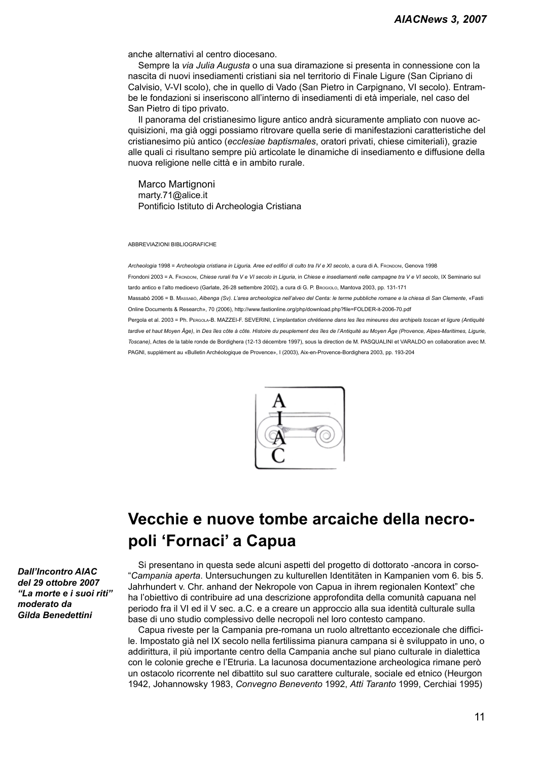anche alternativi al centro diocesano.

Sempre la *via Julia Augusta* o una sua diramazione si presenta in connessione con la nascita di nuovi insediamenti cristiani sia nel territorio di Finale Ligure (San Cipriano di Calvisio, V-VI scolo), che in quello di Vado (San Pietro in Carpignano, VI secolo). Entrambe le fondazioni si inseriscono all'interno di insediamenti di età imperiale, nel caso del San Pietro di tipo privato.

Il panorama del cristianesimo ligure antico andrà sicuramente ampliato con nuove acquisizioni, ma già oggi possiamo ritrovare quella serie di manifestazioni caratteristiche del cristianesimo più antico (*ecclesiae baptismales*, oratori privati, chiese cimiteriali), grazie alle quali ci risultano sempre più articolate le dinamiche di insediamento e diffusione della nuova religione nelle città e in ambito rurale.

Marco Martignoni marty.71@alice.it Pontificio Istituto di Archeologia Cristiana

ABBREVIAZIONI BIBLIOGRAFICHE

*Archeologia* 1998 = *Archeologia cristiana in Liguria. Aree ed edifici di culto tra IV e XI secolo*, a cura di A. Frondoni, Genova 1998 Frondoni 2003 = A. Frondoni, *Chiese rurali fra V e VI secolo in Liguria*, in *Chiese e insediamenti nelle campagne tra V e VI secolo*, IX Seminario sul tardo antico e l'alto medioevo (Garlate, 26-28 settembre 2002), a cura di G. P. Brogiolo, Mantova 2003, pp. 131-171 Massabò 2006 = B. Massabò, *Albenga (Sv). L'area archeologica nell'alveo del Centa: le terme pubbliche romane e la chiesa di San Clemente*, «Fasti Online Documents & Research», 70 (2006), http://www.fastionline.org/php/download.php?file=FOLDER-it-2006-70.pdf Pergola et al. 2003 = Ph. Pergola-B. MAZZEI-F. SEVERINI, *L'implantation chrétienne dans les îles mineures des archipels toscan et ligure (Antiquité tardive et haut Moyen Âge)*, in *Des îles côte à côte. Histoire du peuplement des îles de l'Antiquité au Moyen Âge (Provence, Alpes-Maritimes, Ligurie, Toscane)*, Actes de la table ronde de Bordighera (12-13 décembre 1997), sous la direction de M. PASQUALINI et VARALDO en collaboration avec M. PAGNI, supplément au «Bulletin Archéologique de Provence», I (2003), Aix-en-Provence-Bordighera 2003, pp. 193-204



## **Vecchie e nuove tombe arcaiche della necropoli 'Fornaci' a Capua**

Si presentano in questa sede alcuni aspetti del progetto di dottorato -ancora in corso- "*Campania aperta*. Untersuchungen zu kulturellen Identitäten in Kampanien vom 6. bis 5. Jahrhundert v. Chr. anhand der Nekropole von Capua in ihrem regionalen Kontext" che ha l'obiettivo di contribuire ad una descrizione approfondita della comunità capuana nel periodo fra il VI ed il V sec. a.C. e a creare un approccio alla sua identità culturale sulla base di uno studio complessivo delle necropoli nel loro contesto campano.

Capua riveste per la Campania pre-romana un ruolo altrettanto eccezionale che difficile. Impostato già nel IX secolo nella fertilissima pianura campana si è sviluppato in uno, o addirittura, il più importante centro della Campania anche sul piano culturale in dialettica con le colonie greche e l'Etruria. La lacunosa documentazione archeologica rimane però un ostacolo ricorrente nel dibattito sul suo carattere culturale, sociale ed etnico (Heurgon 1942, Johannowsky 1983, *Convegno Benevento* 1992, *Atti Taranto* 1999, Cerchiai 1995)

*Dall'Incontro AIAC del 29 ottobre 2007 "La morte e i suoi riti" moderato da Gilda Benedettini*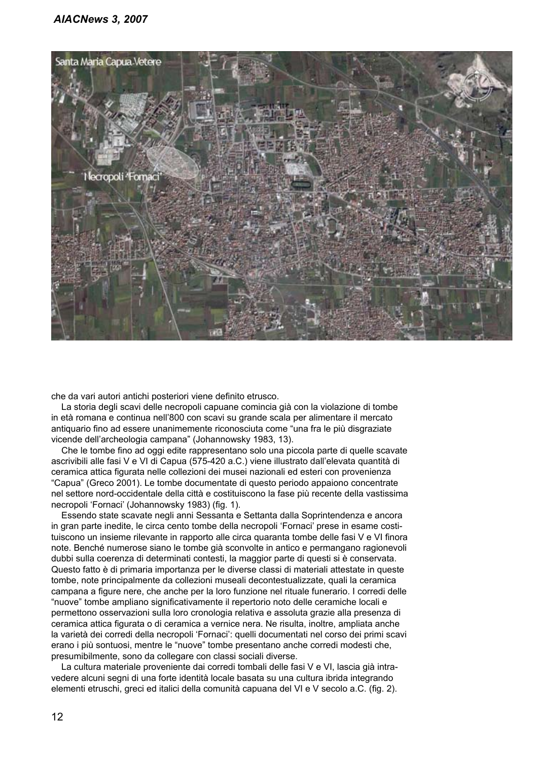

che da vari autori antichi posteriori viene definito etrusco.

La storia degli scavi delle necropoli capuane comincia già con la violazione di tombe in età romana e continua nell'800 con scavi su grande scala per alimentare il mercato antiquario fino ad essere unanimemente riconosciuta come "una fra le più disgraziate vicende dell'archeologia campana" (Johannowsky 1983, 13).

Che le tombe fino ad oggi edite rappresentano solo una piccola parte di quelle scavate ascrivibili alle fasi V e VI di Capua (575-420 a.C.) viene illustrato dall'elevata quantità di ceramica attica figurata nelle collezioni dei musei nazionali ed esteri con provenienza "Capua" (Greco 2001). Le tombe documentate di questo periodo appaiono concentrate nel settore nord-occidentale della città e costituiscono la fase più recente della vastissima necropoli 'Fornaci' (Johannowsky 1983) (fig. 1).

Essendo state scavate negli anni Sessanta e Settanta dalla Soprintendenza e ancora in gran parte inedite, le circa cento tombe della necropoli 'Fornaci' prese in esame costituiscono un insieme rilevante in rapporto alle circa quaranta tombe delle fasi V e VI finora note. Benché numerose siano le tombe già sconvolte in antico e permangano ragionevoli dubbi sulla coerenza di determinati contesti, la maggior parte di questi si è conservata. Questo fatto è di primaria importanza per le diverse classi di materiali attestate in queste tombe, note principalmente da collezioni museali decontestualizzate, quali la ceramica campana a figure nere, che anche per la loro funzione nel rituale funerario. I corredi delle "nuove" tombe ampliano significativamente il repertorio noto delle ceramiche locali e permettono osservazioni sulla loro cronologia relativa e assoluta grazie alla presenza di ceramica attica figurata o di ceramica a vernice nera. Ne risulta, inoltre, ampliata anche la varietà dei corredi della necropoli 'Fornaci': quelli documentati nel corso dei primi scavi erano i più sontuosi, mentre le "nuove" tombe presentano anche corredi modesti che, presumibilmente, sono da collegare con classi sociali diverse.

La cultura materiale proveniente dai corredi tombali delle fasi V e VI, lascia già intravedere alcuni segni di una forte identità locale basata su una cultura ibrida integrando elementi etruschi, greci ed italici della comunità capuana del VI e V secolo a.C. (fig. 2).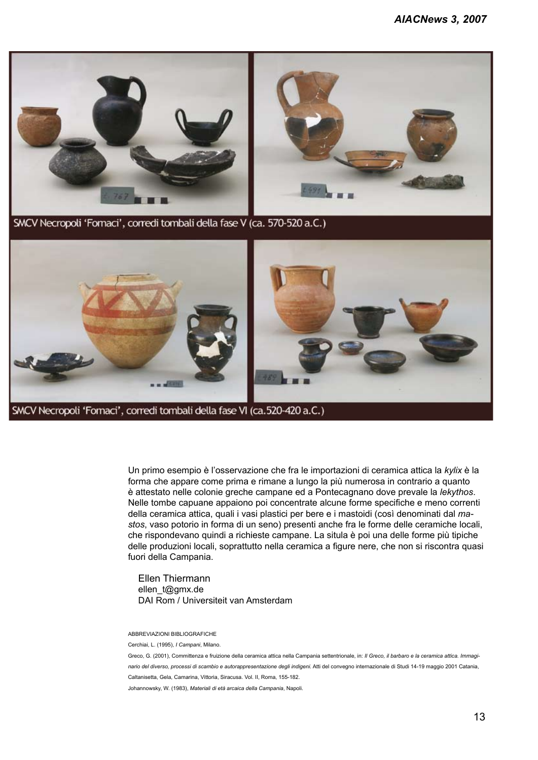

SMCV Necropoli 'Fornaci', corredi tombali della fase VI (ca.520-420 a.C.)

Un primo esempio è l'osservazione che fra le importazioni di ceramica attica la *kylix* è la forma che appare come prima e rimane a lungo la più numerosa in contrario a quanto è attestato nelle colonie greche campane ed a Pontecagnano dove prevale la *lekythos*. Nelle tombe capuane appaiono poi concentrate alcune forme specifiche e meno correnti della ceramica attica, quali i vasi plastici per bere e i mastoidi (così denominati dal *mastos*, vaso potorio in forma di un seno) presenti anche fra le forme delle ceramiche locali, che rispondevano quindi a richieste campane. La situla è poi una delle forme più tipiche delle produzioni locali, soprattutto nella ceramica a figure nere, che non si riscontra quasi fuori della Campania.

Ellen Thiermann ellen\_t@gmx.de DAI Rom / Universiteit van Amsterdam

Abbreviazioni bibliografiche

Cerchiai, L. (1995), *I Campani*, Milano.

Greco, G. (2001), Committenza e fruizione della ceramica attica nella Campania settentrionale, in: *Il Greco, il barbaro e la ceramica attica. Immaginario del diverso, processi di scambio e autorappresentazione degli indigeni.* Atti del convegno internazionale di Studi 14-19 maggio 2001 Catania, Caltanisetta, Gela, Camarina, Vittoria, Siracusa. Vol. II, Roma, 155-182.

Johannowsky, W. (1983), *Materiali di età arcaica della Campania*, Napoli.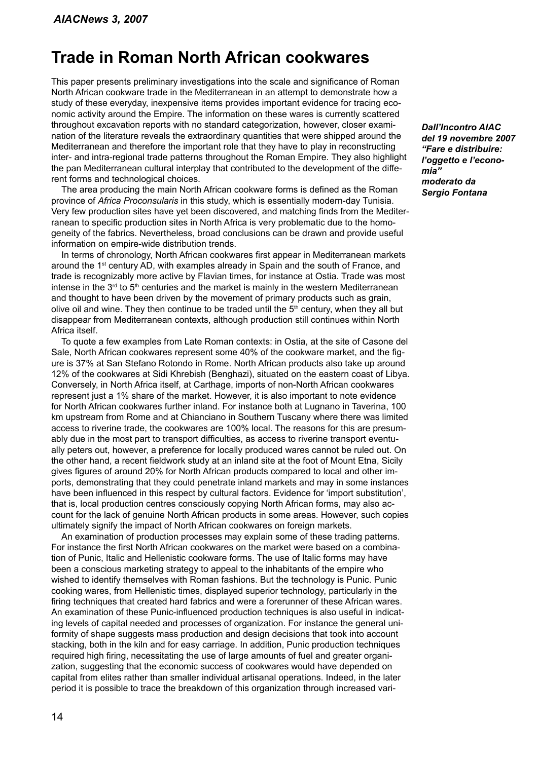## **Trade in Roman North African cookwares**

This paper presents preliminary investigations into the scale and significance of Roman North African cookware trade in the Mediterranean in an attempt to demonstrate how a study of these everyday, inexpensive items provides important evidence for tracing economic activity around the Empire. The information on these wares is currently scattered throughout excavation reports with no standard categorization, however, closer examination of the literature reveals the extraordinary quantities that were shipped around the Mediterranean and therefore the important role that they have to play in reconstructing inter- and intra-regional trade patterns throughout the Roman Empire. They also highlight the pan Mediterranean cultural interplay that contributed to the development of the different forms and technological choices.

The area producing the main North African cookware forms is defined as the Roman province of *Africa Proconsularis* in this study, which is essentially modern-day Tunisia. Very few production sites have yet been discovered, and matching finds from the Mediterranean to specific production sites in North Africa is very problematic due to the homogeneity of the fabrics. Nevertheless, broad conclusions can be drawn and provide useful information on empire-wide distribution trends.

In terms of chronology, North African cookwares first appear in Mediterranean markets around the  $1<sup>st</sup>$  century AD, with examples already in Spain and the south of France, and trade is recognizably more active by Flavian times, for instance at Ostia. Trade was most intense in the  $3<sup>rd</sup>$  to  $5<sup>th</sup>$  centuries and the market is mainly in the western Mediterranean and thought to have been driven by the movement of primary products such as grain, olive oil and wine. They then continue to be traded until the  $5<sup>th</sup>$  century, when they all but disappear from Mediterranean contexts, although production still continues within North Africa itself.

To quote a few examples from Late Roman contexts: in Ostia, at the site of Casone del Sale, North African cookwares represent some 40% of the cookware market, and the figure is 37% at San Stefano Rotondo in Rome. North African products also take up around 12% of the cookwares at Sidi Khrebish (Benghazi), situated on the eastern coast of Libya. Conversely, in North Africa itself, at Carthage, imports of non-North African cookwares represent just a 1% share of the market. However, it is also important to note evidence for North African cookwares further inland. For instance both at Lugnano in Taverina, 100 km upstream from Rome and at Chianciano in Southern Tuscany where there was limited access to riverine trade, the cookwares are 100% local. The reasons for this are presumably due in the most part to transport difficulties, as access to riverine transport eventually peters out, however, a preference for locally produced wares cannot be ruled out. On the other hand, a recent fieldwork study at an inland site at the foot of Mount Etna, Sicily gives figures of around 20% for North African products compared to local and other imports, demonstrating that they could penetrate inland markets and may in some instances have been influenced in this respect by cultural factors. Evidence for 'import substitution', that is, local production centres consciously copying North African forms, may also account for the lack of genuine North African products in some areas. However, such copies ultimately signify the impact of North African cookwares on foreign markets.

An examination of production processes may explain some of these trading patterns. For instance the first North African cookwares on the market were based on a combination of Punic, Italic and Hellenistic cookware forms. The use of Italic forms may have been a conscious marketing strategy to appeal to the inhabitants of the empire who wished to identify themselves with Roman fashions. But the technology is Punic. Punic cooking wares, from Hellenistic times, displayed superior technology, particularly in the firing techniques that created hard fabrics and were a forerunner of these African wares. An examination of these Punic-influenced production techniques is also useful in indicating levels of capital needed and processes of organization. For instance the general uniformity of shape suggests mass production and design decisions that took into account stacking, both in the kiln and for easy carriage. In addition, Punic production techniques required high firing, necessitating the use of large amounts of fuel and greater organization, suggesting that the economic success of cookwares would have depended on capital from elites rather than smaller individual artisanal operations. Indeed, in the later period it is possible to trace the breakdown of this organization through increased vari*Dall'Incontro AIAC del 19 novembre 2007 "Fare e distribuire: l'oggetto e l'economia" moderato da Sergio Fontana*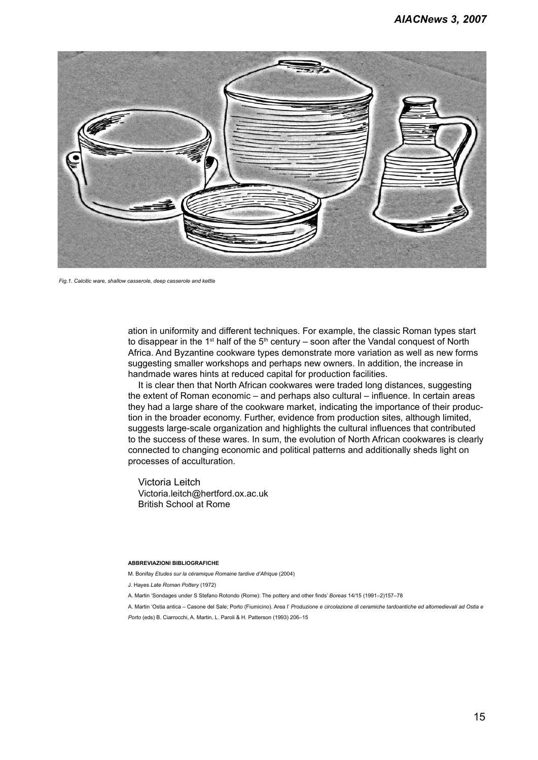

*Fig.1. Calcitic ware, shallow casserole, deep casserole and kettle*

ation in uniformity and different techniques. For example, the classic Roman types start to disappear in the 1<sup>st</sup> half of the  $5<sup>th</sup>$  century – soon after the Vandal conquest of North Africa. And Byzantine cookware types demonstrate more variation as well as new forms suggesting smaller workshops and perhaps new owners. In addition, the increase in handmade wares hints at reduced capital for production facilities.

It is clear then that North African cookwares were traded long distances, suggesting the extent of Roman economic – and perhaps also cultural – influence. In certain areas they had a large share of the cookware market, indicating the importance of their production in the broader economy. Further, evidence from production sites, although limited, suggests large-scale organization and highlights the cultural influences that contributed to the success of these wares. In sum, the evolution of North African cookwares is clearly connected to changing economic and political patterns and additionally sheds light on processes of acculturation.

Victoria Leitch Victoria.leitch@hertford.ox.ac.uk British School at Rome

#### **Abbreviazioni bibliografiche**

- M. Bonifay *Etudes sur la céramique Romaine tardive d'Afrique* (2004)
- J. Hayes *Late Roman Pottery* (1972)
- A. Martin 'Sondages under S Stefano Rotondo (Rome): The pottery and other finds' *Boreas* 14/15 (1991–2)157–78
- A. Martin 'Ostia antica Casone del Sale; Porto (Fiumicino). Area I' *Produzione e circolazione di ceramiche tardoantiche ed altomedievali ad Ostia e Porto* (eds) B. Ciarrocchi, A. Martin, L. Paroli & H. Patterson (1993) 206–15